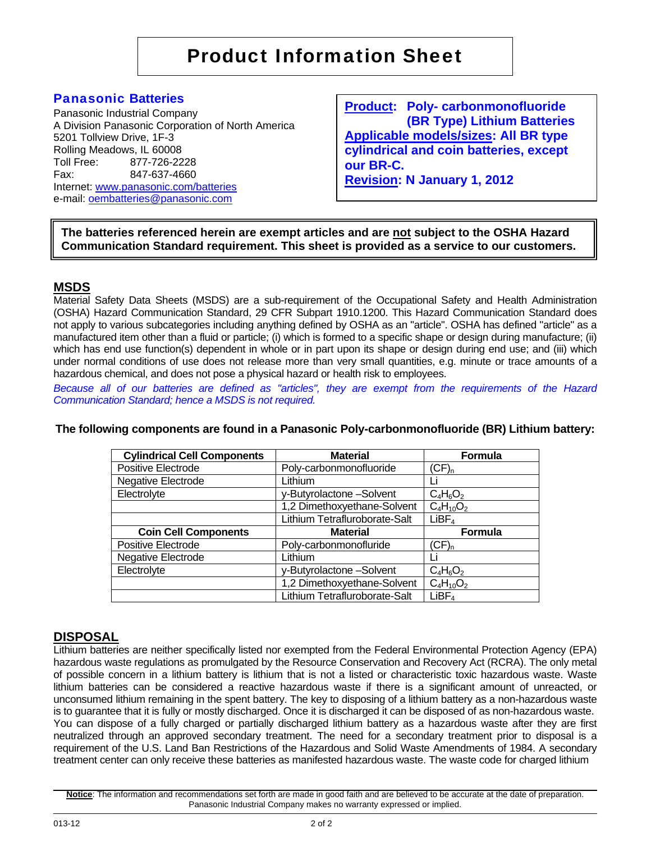# Panasonic **Batteries**

Panasonic Industrial Company A Division Panasonic Corporation of North America 5201 Tollview Drive, 1F-3 Rolling Meadows, IL 60008 Toll Free: 877-726-2228 Fax: 847-637-4660 Internet: www.panasonic.com/batteries e-mail: oembatteries@panasonic.com

**Product: Poly- carbonmonofluoride (BR Type) Lithium Batteries Applicable models/sizes: All BR type cylindrical and coin batteries, except our BR-C. Revision: N January 1, 2012**

**The batteries referenced herein are exempt articles and are not subject to the OSHA Hazard Communication Standard requirement. This sheet is provided as a service to our customers.** 

# **MSDS**

Material Safety Data Sheets (MSDS) are a sub-requirement of the Occupational Safety and Health Administration (OSHA) Hazard Communication Standard, 29 CFR Subpart 1910.1200. This Hazard Communication Standard does not apply to various subcategories including anything defined by OSHA as an "article". OSHA has defined "article" as a manufactured item other than a fluid or particle; (i) which is formed to a specific shape or design during manufacture; (ii) which has end use function(s) dependent in whole or in part upon its shape or design during end use; and (iii) which under normal conditions of use does not release more than very small quantities, e.g. minute or trace amounts of a hazardous chemical, and does not pose a physical hazard or health risk to employees.

*Because all of our batteries are defined as "articles", they are exempt from the requirements of the Hazard Communication Standard; hence a MSDS is not required.* 

|  | The following components are found in a Panasonic Poly-carbonmonofluoride (BR) Lithium battery: |  |  |
|--|-------------------------------------------------------------------------------------------------|--|--|
|  |                                                                                                 |  |  |

| <b>Cylindrical Cell Components</b> | <b>Material</b>               | <b>Formula</b>    |  |
|------------------------------------|-------------------------------|-------------------|--|
| Positive Electrode                 | Poly-carbonmonofluoride       | $(CF)_{n}$        |  |
| Negative Electrode                 | Lithium                       |                   |  |
| Electrolyte                        | y-Butyrolactone-Solvent       | $C_4H_6O_2$       |  |
|                                    | 1,2 Dimethoxyethane-Solvent   | $C_4H_{10}O_2$    |  |
|                                    | Lithium Tetrafluroborate-Salt | LiBF <sub>4</sub> |  |
| <b>Coin Cell Components</b>        | <b>Material</b>               | <b>Formula</b>    |  |
| Positive Electrode                 | Poly-carbonmonofluride        | $(CF)_{n}$        |  |
| Negative Electrode                 | Lithium                       |                   |  |
| Electrolyte                        | y-Butyrolactone-Solvent       | $C_4H_6O_2$       |  |
|                                    | 1,2 Dimethoxyethane-Solvent   | $C_4H_{10}O_2$    |  |
|                                    | Lithium Tetrafluroborate-Salt | LiBF <sub>4</sub> |  |

# **DISPOSAL**

Lithium batteries are neither specifically listed nor exempted from the Federal Environmental Protection Agency (EPA) hazardous waste regulations as promulgated by the Resource Conservation and Recovery Act (RCRA). The only metal of possible concern in a lithium battery is lithium that is not a listed or characteristic toxic hazardous waste. Waste lithium batteries can be considered a reactive hazardous waste if there is a significant amount of unreacted, or unconsumed lithium remaining in the spent battery. The key to disposing of a lithium battery as a non-hazardous waste is to guarantee that it is fully or mostly discharged. Once it is discharged it can be disposed of as non-hazardous waste. You can dispose of a fully charged or partially discharged lithium battery as a hazardous waste after they are first neutralized through an approved secondary treatment. The need for a secondary treatment prior to disposal is a requirement of the U.S. Land Ban Restrictions of the Hazardous and Solid Waste Amendments of 1984. A secondary treatment center can only receive these batteries as manifested hazardous waste. The waste code for charged lithium

**Notice**: The information and recommendations set forth are made in good faith and are believed to be accurate at the date of preparation. Panasonic Industrial Company makes no warranty expressed or implied.